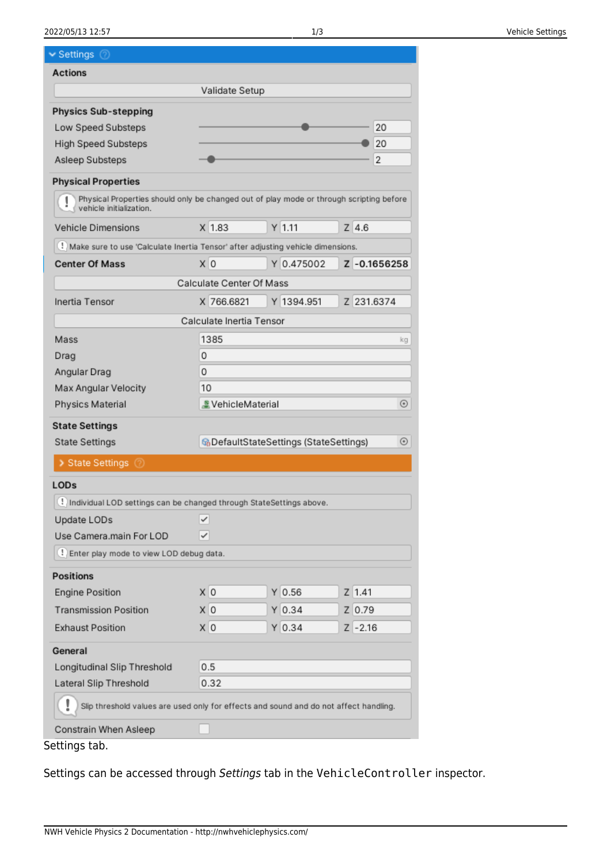#### 2022/05/13 12:57 1/3 Vehicle Settings

| Settings                                                                                                           |                               |                                                             |              |  |
|--------------------------------------------------------------------------------------------------------------------|-------------------------------|-------------------------------------------------------------|--------------|--|
| <b>Actions</b>                                                                                                     |                               |                                                             |              |  |
|                                                                                                                    | Validate Setup                |                                                             |              |  |
| <b>Physics Sub-stepping</b>                                                                                        |                               |                                                             |              |  |
| Low Speed Substeps                                                                                                 |                               |                                                             | 20           |  |
| <b>High Speed Substeps</b>                                                                                         |                               |                                                             | 20           |  |
| Asleep Substeps                                                                                                    |                               |                                                             | 2            |  |
| <b>Physical Properties</b>                                                                                         |                               |                                                             |              |  |
| Physical Properties should only be changed out of play mode or through scripting before<br>vehicle initialization. |                               |                                                             |              |  |
| Vehicle Dimensions                                                                                                 | $X$ 1.83                      | $Y$ 1.11                                                    | $Z$ 4.6      |  |
| Make sure to use 'Calculate Inertia Tensor' after adjusting vehicle dimensions.                                    |                               |                                                             |              |  |
| <b>Center Of Mass</b>                                                                                              | x 0                           | Y 0.475002                                                  | Z -0.1656258 |  |
|                                                                                                                    | Calculate Center Of Mass      |                                                             |              |  |
| Inertia Tensor                                                                                                     | X 766.6821                    | Y 1394.951                                                  | Z 231.6374   |  |
|                                                                                                                    | Calculate Inertia Tensor      |                                                             |              |  |
| Mass                                                                                                               | 1385<br>kg                    |                                                             |              |  |
| Drag                                                                                                               | 0                             |                                                             |              |  |
| Angular Drag                                                                                                       | 0                             |                                                             |              |  |
| Max Angular Velocity                                                                                               | 10                            |                                                             |              |  |
| Physics Material                                                                                                   | VehicleMaterial<br>$_{\odot}$ |                                                             |              |  |
| <b>State Settings</b>                                                                                              |                               |                                                             |              |  |
| <b>State Settings</b>                                                                                              |                               | <b>G</b> DefaultStateSettings (StateSettings)<br>$_{\odot}$ |              |  |
| > State Settings 2                                                                                                 |                               |                                                             |              |  |
| LOD <sub>s</sub>                                                                                                   |                               |                                                             |              |  |
| ! Individual LOD settings can be changed through StateSettings above.                                              |                               |                                                             |              |  |
| Update LODs                                                                                                        | ✓                             |                                                             |              |  |
| Use Camera main For LOD                                                                                            | ✓                             |                                                             |              |  |
| ! Enter play mode to view LOD debug data.                                                                          |                               |                                                             |              |  |
| <b>Positions</b>                                                                                                   |                               |                                                             |              |  |
| <b>Engine Position</b>                                                                                             | X O                           | $Y$ 0.56                                                    | $Z$ 1.41     |  |
|                                                                                                                    |                               |                                                             |              |  |
| <b>Transmission Position</b>                                                                                       | X 0                           | $Y$ 0.34                                                    | Z 0.79       |  |
| <b>Exhaust Position</b>                                                                                            | X O                           | $Y$ 0.34                                                    | $Z - 2.16$   |  |
| General                                                                                                            |                               |                                                             |              |  |
| Longitudinal Slip Threshold                                                                                        | 0.5                           |                                                             |              |  |
| Lateral Slip Threshold                                                                                             | 0.32                          |                                                             |              |  |
| Slip threshold values are used only for effects and sound and do not affect handling.                              |                               |                                                             |              |  |
| Constrain When Asleep                                                                                              |                               |                                                             |              |  |
| Settings tab.                                                                                                      |                               |                                                             |              |  |

Settings can be accessed through Settings tab in the VehicleController inspector.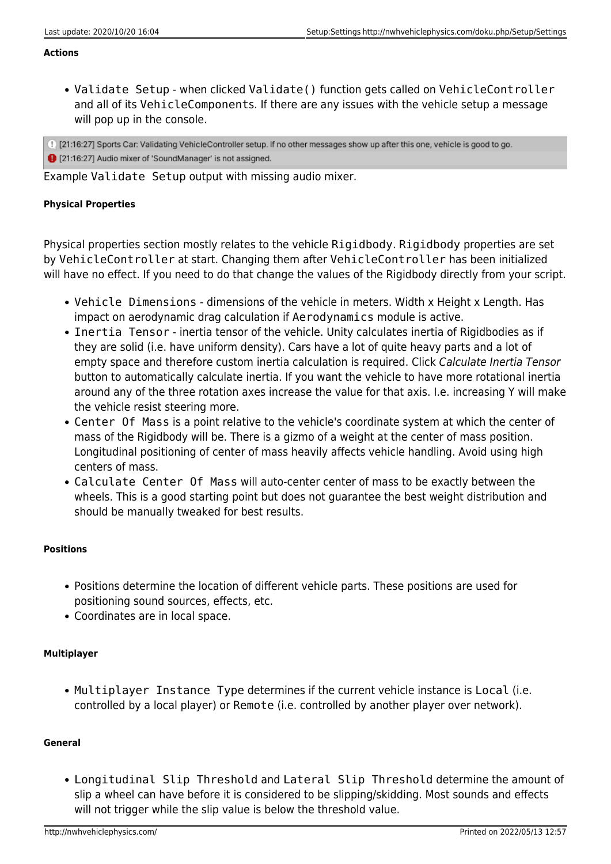#### **Actions**

Validate Setup - when clicked Validate() function gets called on VehicleController and all of its VehicleComponents. If there are any issues with the vehicle setup a message will pop up in the console.

1) [21:16:27] Sports Car: Validating VehicleController setup. If no other messages show up after this one, vehicle is good to go. 1 [21:16:27] Audio mixer of 'SoundManager' is not assigned.

Example Validate Setup output with missing audio mixer.

# **Physical Properties**

Physical properties section mostly relates to the vehicle Rigidbody. Rigidbody properties are set by VehicleController at start. Changing them after VehicleController has been initialized will have no effect. If you need to do that change the values of the Rigidbody directly from your script.

- Vehicle Dimensions dimensions of the vehicle in meters. Width x Height x Length. Has impact on aerodynamic drag calculation if Aerodynamics module is active.
- Inertia Tensor inertia tensor of the vehicle. Unity calculates inertia of Rigidbodies as if they are solid (i.e. have uniform density). Cars have a lot of quite heavy parts and a lot of empty space and therefore custom inertia calculation is required. Click Calculate Inertia Tensor button to automatically calculate inertia. If you want the vehicle to have more rotational inertia around any of the three rotation axes increase the value for that axis. I.e. increasing Y will make the vehicle resist steering more.
- Center Of Mass is a point relative to the vehicle's coordinate system at which the center of mass of the Rigidbody will be. There is a gizmo of a weight at the center of mass position. Longitudinal positioning of center of mass heavily affects vehicle handling. Avoid using high centers of mass.
- Calculate Center Of Mass will auto-center center of mass to be exactly between the wheels. This is a good starting point but does not guarantee the best weight distribution and should be manually tweaked for best results.

## **Positions**

- Positions determine the location of different vehicle parts. These positions are used for positioning sound sources, effects, etc.
- Coordinates are in local space.

## **Multiplayer**

• Multiplayer Instance Type determines if the current vehicle instance is Local (i.e. controlled by a local player) or Remote (i.e. controlled by another player over network).

## **General**

Longitudinal Slip Threshold and Lateral Slip Threshold determine the amount of slip a wheel can have before it is considered to be slipping/skidding. Most sounds and effects will not trigger while the slip value is below the threshold value.